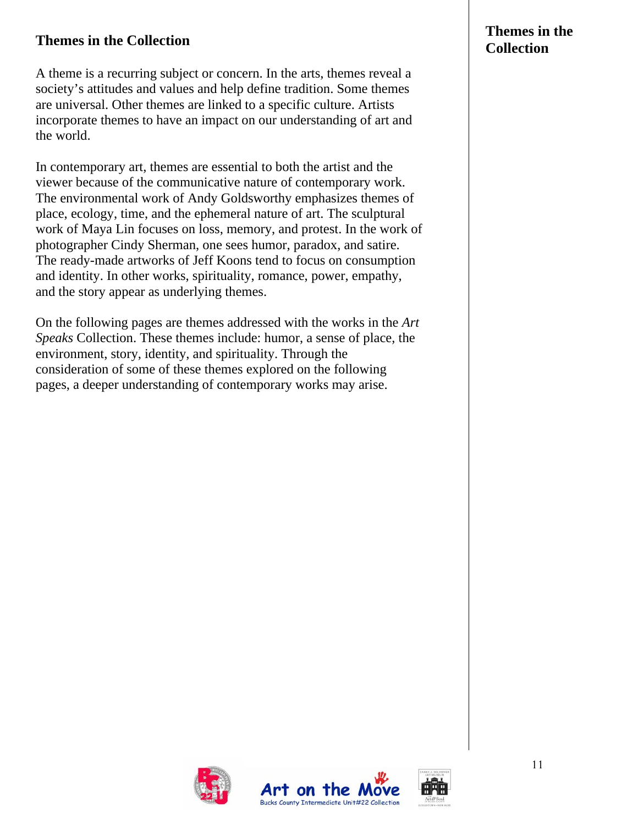## **Themes in the Collection** <br> **Collection**

A theme is a recurring subject or concern. In the arts, themes reveal a society's attitudes and values and help define tradition. Some themes are universal. Other themes are linked to a specific culture. Artists incorporate themes to have an impact on our understanding of art and the world.

In contemporary art, themes are essential to both the artist and the viewer because of the communicative nature of contemporary work. The environmental work of Andy Goldsworthy emphasizes themes of place, ecology, time, and the ephemeral nature of art. The sculptural work of Maya Lin focuses on loss, memory, and protest. In the work of photographer Cindy Sherman, one sees humor, paradox, and satire. The ready-made artworks of Jeff Koons tend to focus on consumption and identity. In other works, spirituality, romance, power, empathy, and the story appear as underlying themes.

On the following pages are themes addressed with the works in the *Art Speaks* Collection. These themes include: humor, a sense of place, the environment, story, identity, and spirituality. Through the consideration of some of these themes explored on the following pages, a deeper understanding of contemporary works may arise.

# **Themes in the**





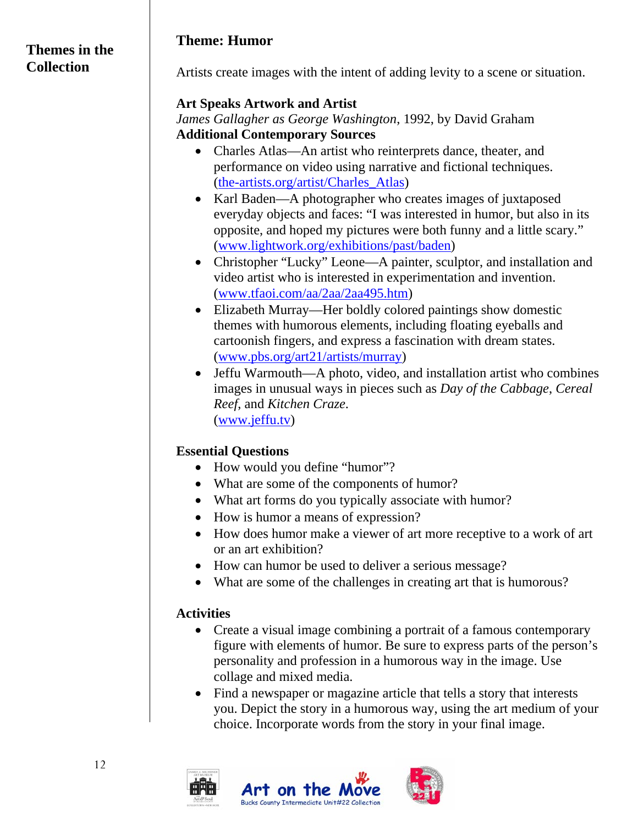#### **Themes in the Collection**

### **Theme: Humor**

Artists create images with the intent of adding levity to a scene or situation.

#### **Art Speaks Artwork and Artist**

*James Gallagher as George Washington*, 1992, by David Graham **Additional Contemporary Sources** 

- Charles Atlas—An artist who reinterprets dance, theater, and performance on video using narrative and fictional techniques. (the-artists.org/artist/Charles\_Atlas)
- Karl Baden—A photographer who creates images of juxtaposed everyday objects and faces: "I was interested in humor, but also in its opposite, and hoped my pictures were both funny and a little scary." (www.lightwork.org/exhibitions/past/baden)
- Christopher "Lucky" Leone—A painter, sculptor, and installation and video artist who is interested in experimentation and invention. (www.tfaoi.com/aa/2aa/2aa495.htm)
- Elizabeth Murray—Her boldly colored paintings show domestic themes with humorous elements, including floating eyeballs and cartoonish fingers, and express a fascination with dream states. (www.pbs.org/art21/artists/murray)
- Jeffu Warmouth—A photo, video, and installation artist who combines images in unusual ways in pieces such as *Day of the Cabbage*, *Cereal Reef*, and *Kitchen Craze*. (www.jeffu.tv)

## **Essential Questions**

- How would you define "humor"?
- What are some of the components of humor?
- What art forms do you typically associate with humor?
- How is humor a means of expression?
- How does humor make a viewer of art more receptive to a work of art or an art exhibition?
- How can humor be used to deliver a serious message?
- What are some of the challenges in creating art that is humorous?

### **Activities**

- Create a visual image combining a portrait of a famous contemporary figure with elements of humor. Be sure to express parts of the person's personality and profession in a humorous way in the image. Use collage and mixed media.
- Find a newspaper or magazine article that tells a story that interests you. Depict the story in a humorous way, using the art medium of your choice. Incorporate words from the story in your final image.

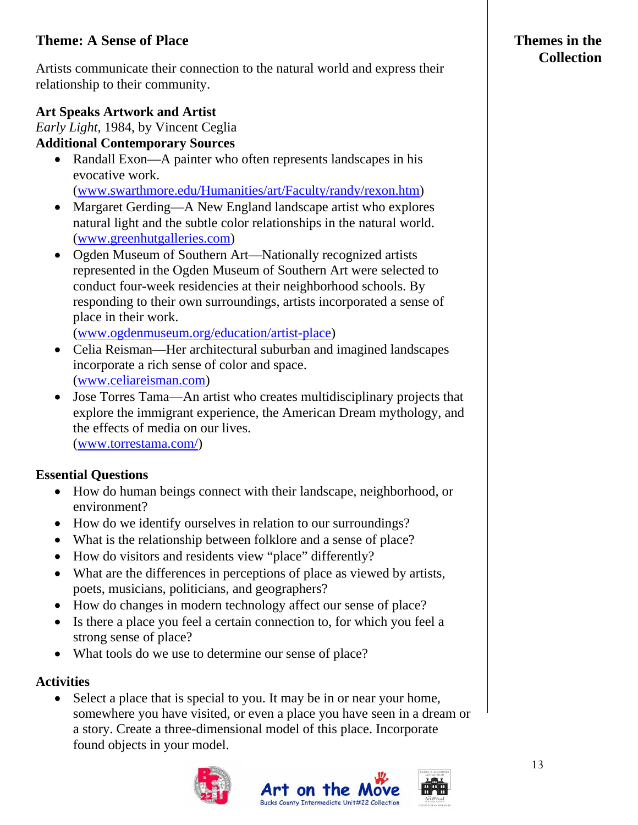## **Theme: A Sense of Place**

Artists communicate their connection to the natural world and express their relationship to their community.

## **Art Speaks Artwork and Artist**

*Early Light*, 1984, by Vincent Ceglia **Additional Contemporary Sources** 

• Randall Exon—A painter who often represents landscapes in his evocative work.

(www.swarthmore.edu/Humanities/art/Faculty/randy/rexon.htm)

- Margaret Gerding—A New England landscape artist who explores natural light and the subtle color relationships in the natural world. (www.greenhutgalleries.com)
- Ogden Museum of Southern Art—Nationally recognized artists represented in the Ogden Museum of Southern Art were selected to conduct four-week residencies at their neighborhood schools. By responding to their own surroundings, artists incorporated a sense of place in their work.

([www.ogdenmuseum.org/education/artist-place\)](http://www.ogdenmuseum.org/education/artist-place)

- Celia Reisman—Her architectural suburban and imagined landscapes incorporate a rich sense of color and space. (www.celiareisman.com)
- Jose Torres Tama—An artist who creates multidisciplinary projects that explore the immigrant experience, the American Dream mythology, and the effects of media on our lives. (www.torrestama.com/)

#### **Essential Questions**

- How do human beings connect with their landscape, neighborhood, or environment?
- How do we identify ourselves in relation to our surroundings?
- What is the relationship between folklore and a sense of place?
- How do visitors and residents view "place" differently?
- What are the differences in perceptions of place as viewed by artists, poets, musicians, politicians, and geographers?
- How do changes in modern technology affect our sense of place?
- Is there a place you feel a certain connection to, for which you feel a strong sense of place?
- What tools do we use to determine our sense of place?

#### **Activities**

• Select a place that is special to you. It may be in or near your home, somewhere you have visited, or even a place you have seen in a dream or a story. Create a three-dimensional model of this place. Incorporate found objects in your model.







## **Themes in the Collection**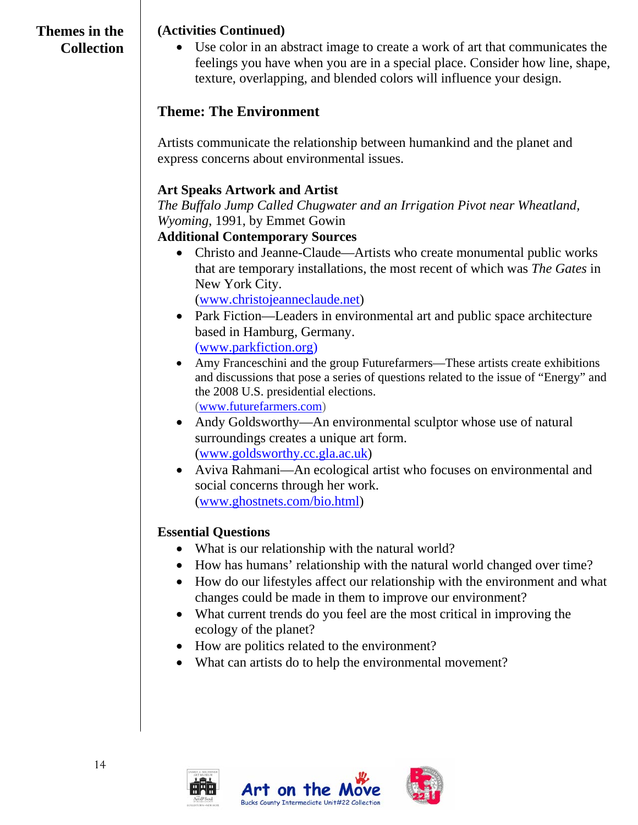## **Themes in the Collection**

#### **(Activities Continued)**

• Use color in an abstract image to create a work of art that communicates the feelings you have when you are in a special place. Consider how line, shape, texture, overlapping, and blended colors will influence your design.

## **Theme: The Environment**

Artists communicate the relationship between humankind and the planet and express concerns about environmental issues.

#### **Art Speaks Artwork and Artist**

*The Buffalo Jump Called Chugwater and an Irrigation Pivot near Wheatland, Wyoming*, 1991, by Emmet Gowin

#### **Additional Contemporary Sources**

• Christo and Jeanne-Claude—Artists who create monumental public works that are temporary installations, the most recent of which was *The Gates* in New York City.

(www.christojeanneclaude.net)

- Park Fiction—Leaders in environmental art and public space architecture based in Hamburg, Germany. (www.parkfiction.org)
- Amy Franceschini and the group Futurefarmers—These artists create exhibitions and discussions that pose a series of questions related to the issue of "Energy" and the 2008 U.S. presidential elections. (www.futurefarmers.com)
- Andy Goldsworthy—An environmental sculptor whose use of natural surroundings creates a unique art form. (www.goldsworthy.cc.gla.ac.uk)
- Aviva Rahmani—An ecological artist who focuses on environmental and social concerns through her work. (www.ghostnets.com/bio.html)

#### **Essential Questions**

- What is our relationship with the natural world?
- How has humans' relationship with the natural world changed over time?
- How do our lifestyles affect our relationship with the environment and what changes could be made in them to improve our environment?
- What current trends do you feel are the most critical in improving the ecology of the planet?
- How are politics related to the environment?
- What can artists do to help the environmental movement?

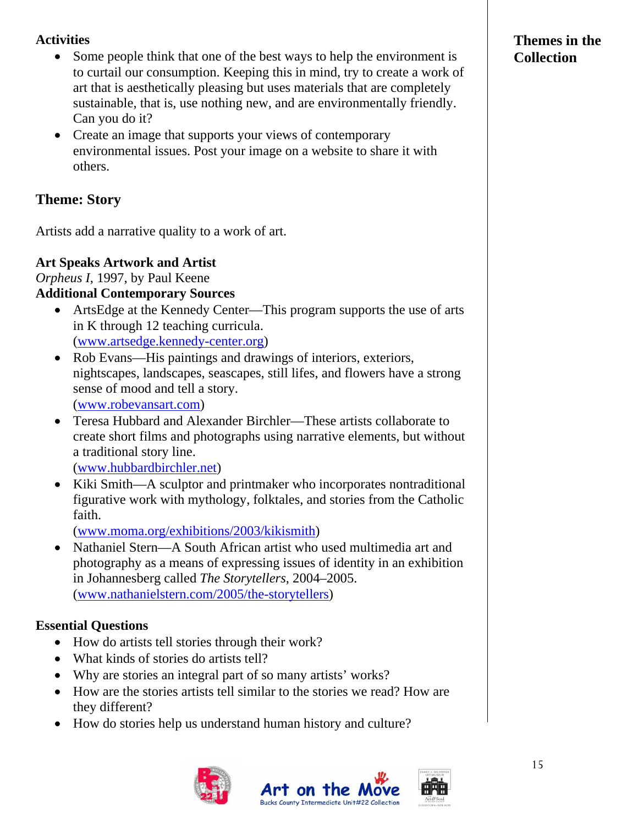### **Activities**

- Some people think that one of the best ways to help the environment is to curtail our consumption. Keeping this in mind, try to create a work of art that is aesthetically pleasing but uses materials that are completely sustainable, that is, use nothing new, and are environmentally friendly. Can you do it?
- Create an image that supports your views of contemporary environmental issues. Post your image on a website to share it with others.

## **Theme: Story**

Artists add a narrative quality to a work of art.

### **Art Speaks Artwork and Artist**

*Orpheus I*, 1997, by Paul Keene

### **Additional Contemporary Sources**

- ArtsEdge at the Kennedy Center—This program supports the use of arts in K through 12 teaching curricula. (www.artsedge.kennedy-center.org)
- Rob Evans—His paintings and drawings of interiors, exteriors, nightscapes, landscapes, seascapes, still lifes, and flowers have a strong sense of mood and tell a story. (www.robevansart.com)
- Teresa Hubbard and Alexander Birchler—These artists collaborate to create short films and photographs using narrative elements, but without a traditional story line.

(www.hubbardbirchler.net)

• Kiki Smith—A sculptor and printmaker who incorporates nontraditional figurative work with mythology, folktales, and stories from the Catholic faith.

(www.moma.org/exhibitions/2003/kikismith)

• Nathaniel Stern—A South African artist who used multimedia art and photography as a means of expressing issues of identity in an exhibition in Johannesberg called *The Storytellers*, 2004–2005. (www.nathanielstern.com/2005/the-storytellers)

## **Essential Questions**

- How do artists tell stories through their work?
- What kinds of stories do artists tell?
- Why are stories an integral part of so many artists' works?
- How are the stories artists tell similar to the stories we read? How are they different?
- How do stories help us understand human history and culture?



## **Themes in the Collection**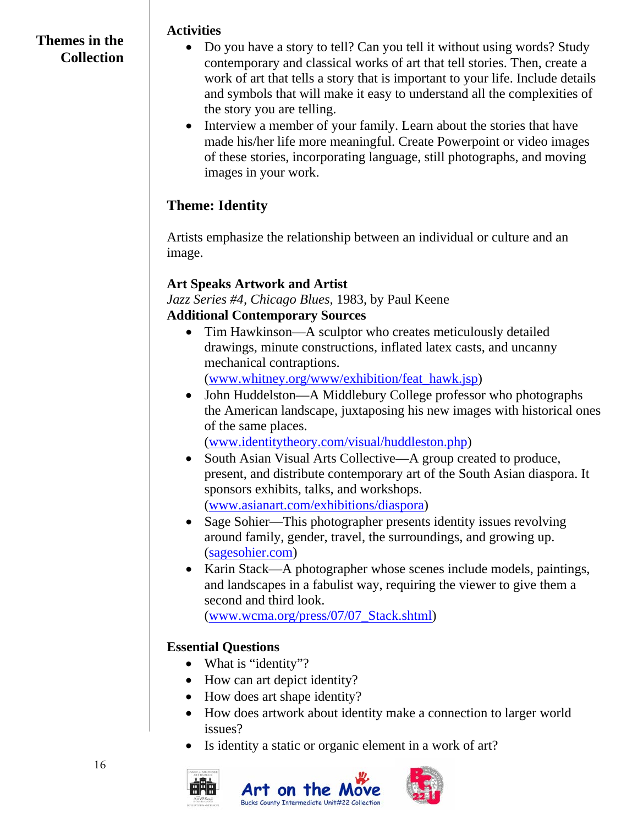### **Themes in the Collection**

#### **Activities**

- Do you have a story to tell? Can you tell it without using words? Study contemporary and classical works of art that tell stories. Then, create a work of art that tells a story that is important to your life. Include details and symbols that will make it easy to understand all the complexities of the story you are telling.
- Interview a member of your family. Learn about the stories that have made his/her life more meaningful. Create Powerpoint or video images of these stories, incorporating language, still photographs, and moving images in your work.

## **Theme: Identity**

Artists emphasize the relationship between an individual or culture and an image.

## **Art Speaks Artwork and Artist**

*Jazz Series #4, Chicago Blues*, 1983, by Paul Keene **Additional Contemporary Sources** 

- Tim Hawkinson—A sculptor who creates meticulously detailed drawings, minute constructions, inflated latex casts, and uncanny mechanical contraptions. (www.whitney.org/www/exhibition/feat\_hawk.jsp)
- John Huddelston—A Middlebury College professor who photographs the American landscape, juxtaposing his new images with historical ones of the same places.

(www.identitytheory.com/visual/huddleston.php)

- South Asian Visual Arts Collective—A group created to produce, present, and distribute contemporary art of the South Asian diaspora. It sponsors exhibits, talks, and workshops. (www.asianart.com/exhibitions/diaspora)
- Sage Sohier—This photographer presents identity issues revolving around family, gender, travel, the surroundings, and growing up. (sagesohier.com)
- Karin Stack—A photographer whose scenes include models, paintings, and landscapes in a fabulist way, requiring the viewer to give them a second and third look.

(www.wcma.org/press/07/07\_Stack.shtml)

## **Essential Questions**

- What is "identity"?
- How can art depict identity?
- How does art shape identity?
- How does artwork about identity make a connection to larger world issues?
- Is identity a static or organic element in a work of art?



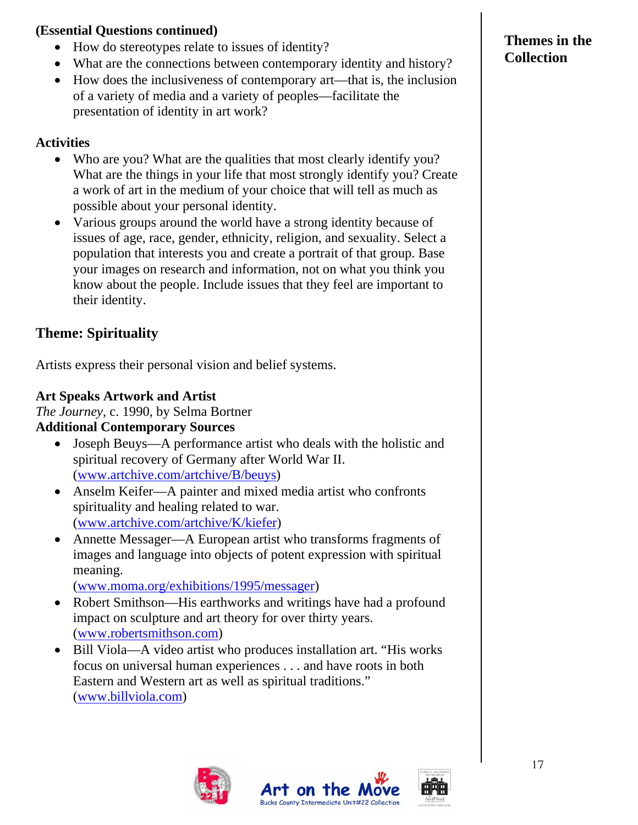#### **(Essential Questions continued)**

- How do stereotypes relate to issues of identity?
- What are the connections between contemporary identity and history?
- How does the inclusiveness of contemporary art—that is, the inclusion of a variety of media and a variety of peoples—facilitate the presentation of identity in art work?

## **Activities**

- Who are you? What are the qualities that most clearly identify you? What are the things in your life that most strongly identify you? Create a work of art in the medium of your choice that will tell as much as possible about your personal identity.
- Various groups around the world have a strong identity because of issues of age, race, gender, ethnicity, religion, and sexuality. Select a population that interests you and create a portrait of that group. Base your images on research and information, not on what you think you know about the people. Include issues that they feel are important to their identity.

## **Theme: Spirituality**

Artists express their personal vision and belief systems.

### **Art Speaks Artwork and Artist**

*The Journey*, c. 1990, by Selma Bortner

### **Additional Contemporary Sources**

- Joseph Beuys—A performance artist who deals with the holistic and spiritual recovery of Germany after World War II. (www.artchive.com/artchive/B/beuys)
- Anselm Keifer—A painter and mixed media artist who confronts spirituality and healing related to war. (www.artchive.com/artchive/K/kiefer)
- Annette Messager—A European artist who transforms fragments of images and language into objects of potent expression with spiritual meaning.

(www.moma.org/exhibitions/1995/messager)

- Robert Smithson—His earthworks and writings have had a profound impact on sculpture and art theory for over thirty years. (www.robertsmithson.com)
- Bill Viola—A video artist who produces installation art. "His works focus on universal human experiences . . . and have roots in both Eastern and Western art as well as spiritual traditions." (www.billviola.com)





## **Themes in the Collection**